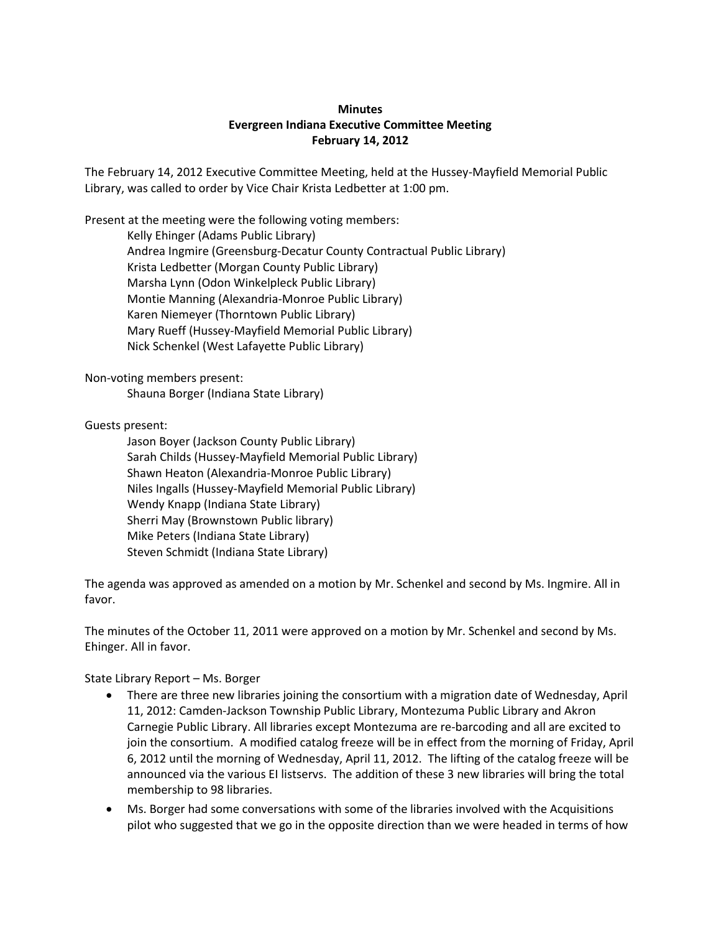## **Minutes Evergreen Indiana Executive Committee Meeting February 14, 2012**

The February 14, 2012 Executive Committee Meeting, held at the Hussey-Mayfield Memorial Public Library, was called to order by Vice Chair Krista Ledbetter at 1:00 pm.

Present at the meeting were the following voting members:

Kelly Ehinger (Adams Public Library) Andrea Ingmire (Greensburg-Decatur County Contractual Public Library) Krista Ledbetter (Morgan County Public Library) Marsha Lynn (Odon Winkelpleck Public Library) Montie Manning (Alexandria-Monroe Public Library) Karen Niemeyer (Thorntown Public Library) Mary Rueff (Hussey-Mayfield Memorial Public Library) Nick Schenkel (West Lafayette Public Library)

Non-voting members present:

Shauna Borger (Indiana State Library)

Guests present:

Jason Boyer (Jackson County Public Library) Sarah Childs (Hussey-Mayfield Memorial Public Library) Shawn Heaton (Alexandria-Monroe Public Library) Niles Ingalls (Hussey-Mayfield Memorial Public Library) Wendy Knapp (Indiana State Library) Sherri May (Brownstown Public library) Mike Peters (Indiana State Library) Steven Schmidt (Indiana State Library)

The agenda was approved as amended on a motion by Mr. Schenkel and second by Ms. Ingmire. All in favor.

The minutes of the October 11, 2011 were approved on a motion by Mr. Schenkel and second by Ms. Ehinger. All in favor.

State Library Report – Ms. Borger

- There are three new libraries joining the consortium with a migration date of Wednesday, April 11, 2012: Camden-Jackson Township Public Library, Montezuma Public Library and Akron Carnegie Public Library. All libraries except Montezuma are re-barcoding and all are excited to join the consortium. A modified catalog freeze will be in effect from the morning of Friday, April 6, 2012 until the morning of Wednesday, April 11, 2012. The lifting of the catalog freeze will be announced via the various EI listservs. The addition of these 3 new libraries will bring the total membership to 98 libraries.
- Ms. Borger had some conversations with some of the libraries involved with the Acquisitions pilot who suggested that we go in the opposite direction than we were headed in terms of how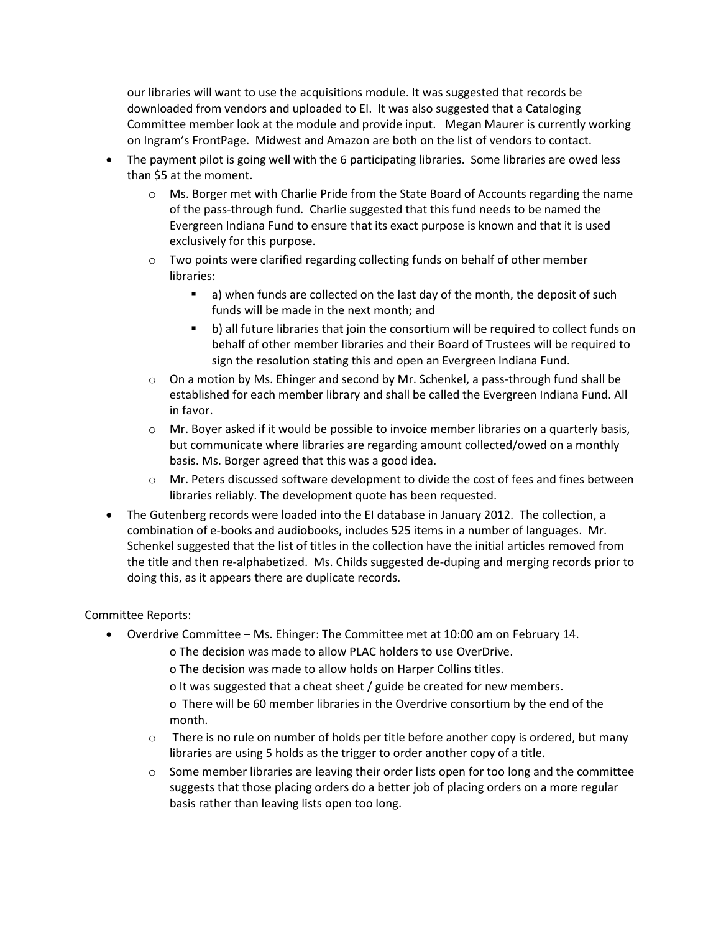our libraries will want to use the acquisitions module. It was suggested that records be downloaded from vendors and uploaded to EI. It was also suggested that a Cataloging Committee member look at the module and provide input. Megan Maurer is currently working on Ingram's FrontPage. Midwest and Amazon are both on the list of vendors to contact.

- The payment pilot is going well with the 6 participating libraries. Some libraries are owed less than \$5 at the moment.
	- o Ms. Borger met with Charlie Pride from the State Board of Accounts regarding the name of the pass-through fund. Charlie suggested that this fund needs to be named the Evergreen Indiana Fund to ensure that its exact purpose is known and that it is used exclusively for this purpose.
	- $\circ$  Two points were clarified regarding collecting funds on behalf of other member libraries:
		- a) when funds are collected on the last day of the month, the deposit of such funds will be made in the next month; and
		- b) all future libraries that join the consortium will be required to collect funds on behalf of other member libraries and their Board of Trustees will be required to sign the resolution stating this and open an Evergreen Indiana Fund.
	- $\circ$  On a motion by Ms. Ehinger and second by Mr. Schenkel, a pass-through fund shall be established for each member library and shall be called the Evergreen Indiana Fund. All in favor.
	- $\circ$  Mr. Boyer asked if it would be possible to invoice member libraries on a quarterly basis, but communicate where libraries are regarding amount collected/owed on a monthly basis. Ms. Borger agreed that this was a good idea.
	- o Mr. Peters discussed software development to divide the cost of fees and fines between libraries reliably. The development quote has been requested.
- The Gutenberg records were loaded into the EI database in January 2012. The collection, a combination of e-books and audiobooks, includes 525 items in a number of languages. Mr. Schenkel suggested that the list of titles in the collection have the initial articles removed from the title and then re-alphabetized. Ms. Childs suggested de-duping and merging records prior to doing this, as it appears there are duplicate records.

## Committee Reports:

- Overdrive Committee Ms. Ehinger: The Committee met at 10:00 am on February 14.
	- o The decision was made to allow PLAC holders to use OverDrive.
	- o The decision was made to allow holds on Harper Collins titles.
	- o It was suggested that a cheat sheet / guide be created for new members.
	- o There will be 60 member libraries in the Overdrive consortium by the end of the month.
	- $\circ$  There is no rule on number of holds per title before another copy is ordered, but many libraries are using 5 holds as the trigger to order another copy of a title.
	- $\circ$  Some member libraries are leaving their order lists open for too long and the committee suggests that those placing orders do a better job of placing orders on a more regular basis rather than leaving lists open too long.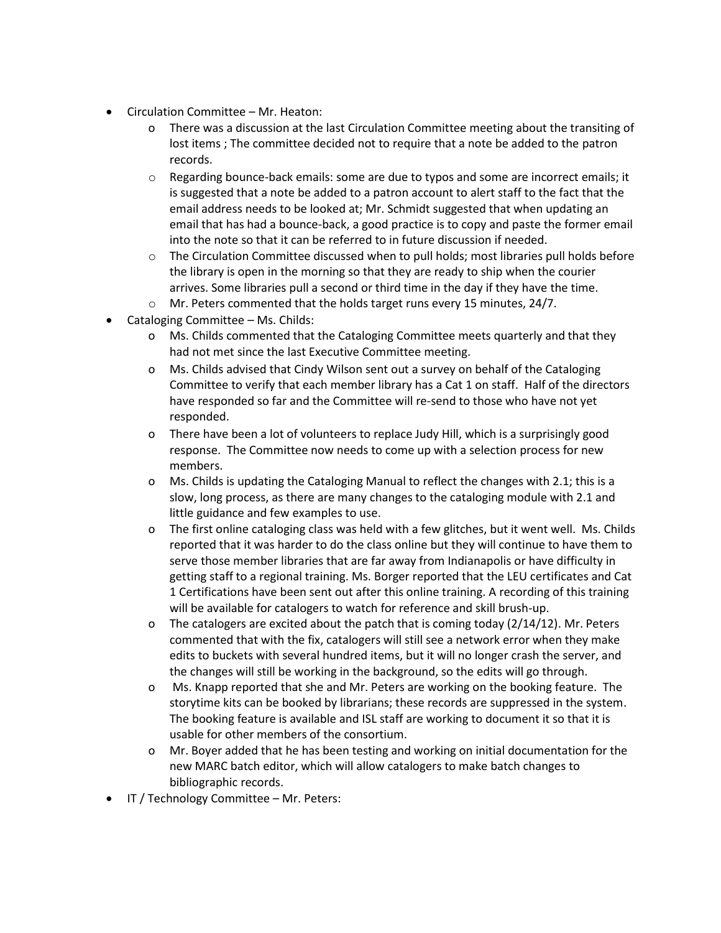- Circulation Committee Mr. Heaton:
	- o There was a discussion at the last Circulation Committee meeting about the transiting of lost items ; The committee decided not to require that a note be added to the patron records.
	- $\circ$  Regarding bounce-back emails: some are due to typos and some are incorrect emails; it is suggested that a note be added to a patron account to alert staff to the fact that the email address needs to be looked at; Mr. Schmidt suggested that when updating an email that has had a bounce-back, a good practice is to copy and paste the former email into the note so that it can be referred to in future discussion if needed.
	- $\circ$  The Circulation Committee discussed when to pull holds; most libraries pull holds before the library is open in the morning so that they are ready to ship when the courier arrives. Some libraries pull a second or third time in the day if they have the time.
	- o Mr. Peters commented that the holds target runs every 15 minutes, 24/7.
- Cataloging Committee Ms. Childs:
	- o Ms. Childs commented that the Cataloging Committee meets quarterly and that they had not met since the last Executive Committee meeting.
	- o Ms. Childs advised that Cindy Wilson sent out a survey on behalf of the Cataloging Committee to verify that each member library has a Cat 1 on staff. Half of the directors have responded so far and the Committee will re-send to those who have not yet responded.
	- o There have been a lot of volunteers to replace Judy Hill, which is a surprisingly good response. The Committee now needs to come up with a selection process for new members.
	- o Ms. Childs is updating the Cataloging Manual to reflect the changes with 2.1; this is a slow, long process, as there are many changes to the cataloging module with 2.1 and little guidance and few examples to use.
	- o The first online cataloging class was held with a few glitches, but it went well. Ms. Childs reported that it was harder to do the class online but they will continue to have them to serve those member libraries that are far away from Indianapolis or have difficulty in getting staff to a regional training. Ms. Borger reported that the LEU certificates and Cat 1 Certifications have been sent out after this online training. A recording of this training will be available for catalogers to watch for reference and skill brush-up.
	- o The catalogers are excited about the patch that is coming today  $(2/14/12)$ . Mr. Peters commented that with the fix, catalogers will still see a network error when they make edits to buckets with several hundred items, but it will no longer crash the server, and the changes will still be working in the background, so the edits will go through.
	- o Ms. Knapp reported that she and Mr. Peters are working on the booking feature. The storytime kits can be booked by librarians; these records are suppressed in the system. The booking feature is available and ISL staff are working to document it so that it is usable for other members of the consortium.
	- o Mr. Boyer added that he has been testing and working on initial documentation for the new MARC batch editor, which will allow catalogers to make batch changes to bibliographic records.
- IT / Technology Committee Mr. Peters: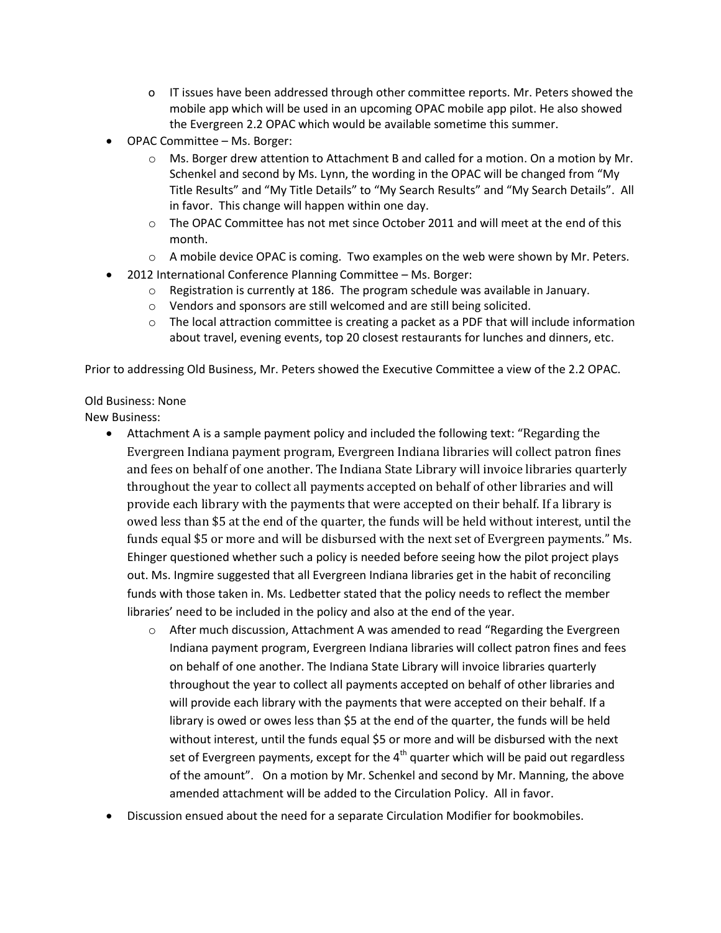- o IT issues have been addressed through other committee reports. Mr. Peters showed the mobile app which will be used in an upcoming OPAC mobile app pilot. He also showed the Evergreen 2.2 OPAC which would be available sometime this summer.
- OPAC Committee Ms. Borger:
	- $\circ$  Ms. Borger drew attention to Attachment B and called for a motion. On a motion by Mr. Schenkel and second by Ms. Lynn, the wording in the OPAC will be changed from "My Title Results" and "My Title Details" to "My Search Results" and "My Search Details". All in favor. This change will happen within one day.
	- $\circ$  The OPAC Committee has not met since October 2011 and will meet at the end of this month.
	- $\circ$  A mobile device OPAC is coming. Two examples on the web were shown by Mr. Peters.
- 2012 International Conference Planning Committee Ms. Borger:
	- $\circ$  Registration is currently at 186. The program schedule was available in January.
	- o Vendors and sponsors are still welcomed and are still being solicited.
	- $\circ$  The local attraction committee is creating a packet as a PDF that will include information about travel, evening events, top 20 closest restaurants for lunches and dinners, etc.

Prior to addressing Old Business, Mr. Peters showed the Executive Committee a view of the 2.2 OPAC.

## Old Business: None

New Business:

- Attachment A is a sample payment policy and included the following text: "Regarding the Evergreen Indiana payment program, Evergreen Indiana libraries will collect patron fines and fees on behalf of one another. The Indiana State Library will invoice libraries quarterly throughout the year to collect all payments accepted on behalf of other libraries and will provide each library with the payments that were accepted on their behalf. If a library is owed less than \$5 at the end of the quarter, the funds will be held without interest, until the funds equal \$5 or more and will be disbursed with the next set of Evergreen payments." Ms. Ehinger questioned whether such a policy is needed before seeing how the pilot project plays out. Ms. Ingmire suggested that all Evergreen Indiana libraries get in the habit of reconciling funds with those taken in. Ms. Ledbetter stated that the policy needs to reflect the member libraries' need to be included in the policy and also at the end of the year.
	- $\circ$  After much discussion, Attachment A was amended to read "Regarding the Evergreen Indiana payment program, Evergreen Indiana libraries will collect patron fines and fees on behalf of one another. The Indiana State Library will invoice libraries quarterly throughout the year to collect all payments accepted on behalf of other libraries and will provide each library with the payments that were accepted on their behalf. If a library is owed or owes less than \$5 at the end of the quarter, the funds will be held without interest, until the funds equal \$5 or more and will be disbursed with the next set of Evergreen payments, except for the  $4<sup>th</sup>$  quarter which will be paid out regardless of the amount". On a motion by Mr. Schenkel and second by Mr. Manning, the above amended attachment will be added to the Circulation Policy. All in favor.
- Discussion ensued about the need for a separate Circulation Modifier for bookmobiles.